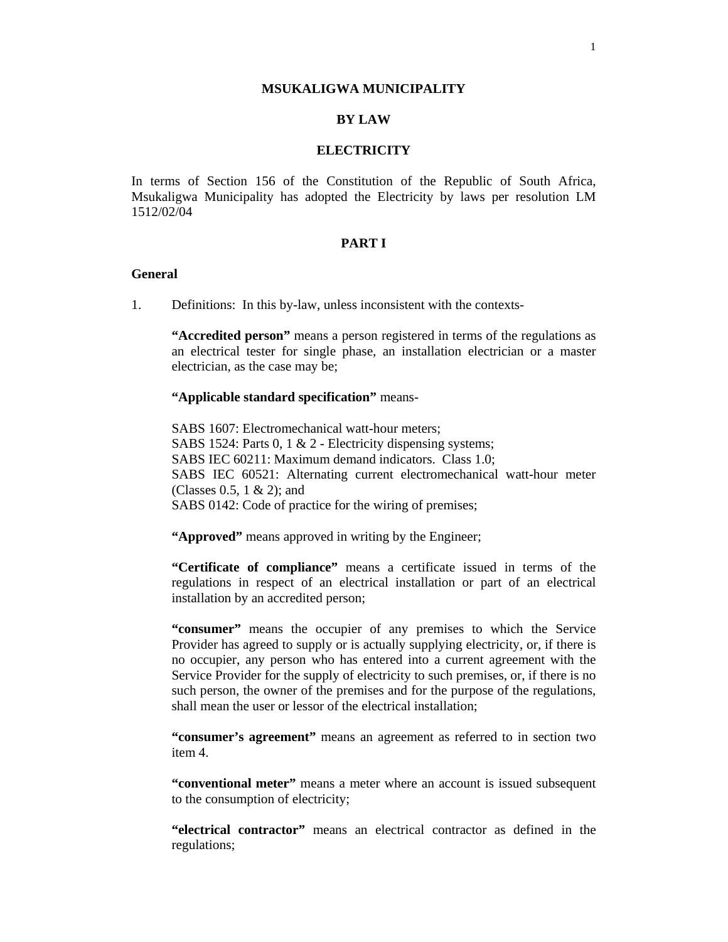#### **MSUKALIGWA MUNICIPALITY**

## **BY LAW**

### **ELECTRICITY**

In terms of Section 156 of the Constitution of the Republic of South Africa, Msukaligwa Municipality has adopted the Electricity by laws per resolution LM 1512/02/04

### **PART I**

### **General**

1. Definitions: In this by-law, unless inconsistent with the contexts-

**"Accredited person"** means a person registered in terms of the regulations as an electrical tester for single phase, an installation electrician or a master electrician, as the case may be;

#### **"Applicable standard specification"** means-

SABS 1607: Electromechanical watt-hour meters; SABS 1524: Parts 0, 1 & 2 - Electricity dispensing systems; SABS IEC 60211: Maximum demand indicators. Class 1.0; SABS IEC 60521: Alternating current electromechanical watt-hour meter (Classes 0.5, 1 & 2); and SABS 0142: Code of practice for the wiring of premises;

"Approved" means approved in writing by the Engineer;

**"Certificate of compliance"** means a certificate issued in terms of the regulations in respect of an electrical installation or part of an electrical installation by an accredited person;

**"consumer"** means the occupier of any premises to which the Service Provider has agreed to supply or is actually supplying electricity, or, if there is no occupier, any person who has entered into a current agreement with the Service Provider for the supply of electricity to such premises, or, if there is no such person, the owner of the premises and for the purpose of the regulations, shall mean the user or lessor of the electrical installation;

**"consumer's agreement"** means an agreement as referred to in section two item 4.

**"conventional meter"** means a meter where an account is issued subsequent to the consumption of electricity;

**"electrical contractor"** means an electrical contractor as defined in the regulations;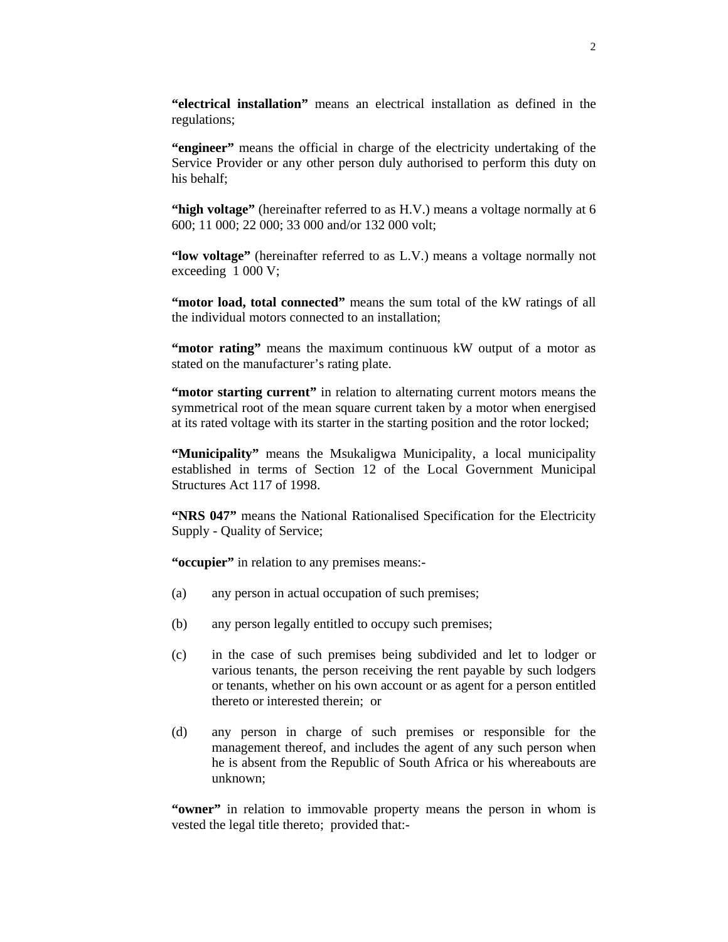**"electrical installation"** means an electrical installation as defined in the regulations;

**"engineer"** means the official in charge of the electricity undertaking of the Service Provider or any other person duly authorised to perform this duty on his behalf;

**"high voltage"** (hereinafter referred to as H.V.) means a voltage normally at 6 600; 11 000; 22 000; 33 000 and/or 132 000 volt;

**"low voltage"** (hereinafter referred to as L.V.) means a voltage normally not exceeding 1 000 V;

"motor load, total connected" means the sum total of the kW ratings of all the individual motors connected to an installation;

**"motor rating"** means the maximum continuous kW output of a motor as stated on the manufacturer's rating plate.

**"motor starting current"** in relation to alternating current motors means the symmetrical root of the mean square current taken by a motor when energised at its rated voltage with its starter in the starting position and the rotor locked;

**"Municipality"** means the Msukaligwa Municipality, a local municipality established in terms of Section 12 of the Local Government Municipal Structures Act 117 of 1998.

**"NRS 047"** means the National Rationalised Specification for the Electricity Supply - Quality of Service;

**"occupier"** in relation to any premises means:-

- (a) any person in actual occupation of such premises;
- (b) any person legally entitled to occupy such premises;
- (c) in the case of such premises being subdivided and let to lodger or various tenants, the person receiving the rent payable by such lodgers or tenants, whether on his own account or as agent for a person entitled thereto or interested therein; or
- (d) any person in charge of such premises or responsible for the management thereof, and includes the agent of any such person when he is absent from the Republic of South Africa or his whereabouts are unknown;

**"owner"** in relation to immovable property means the person in whom is vested the legal title thereto; provided that:-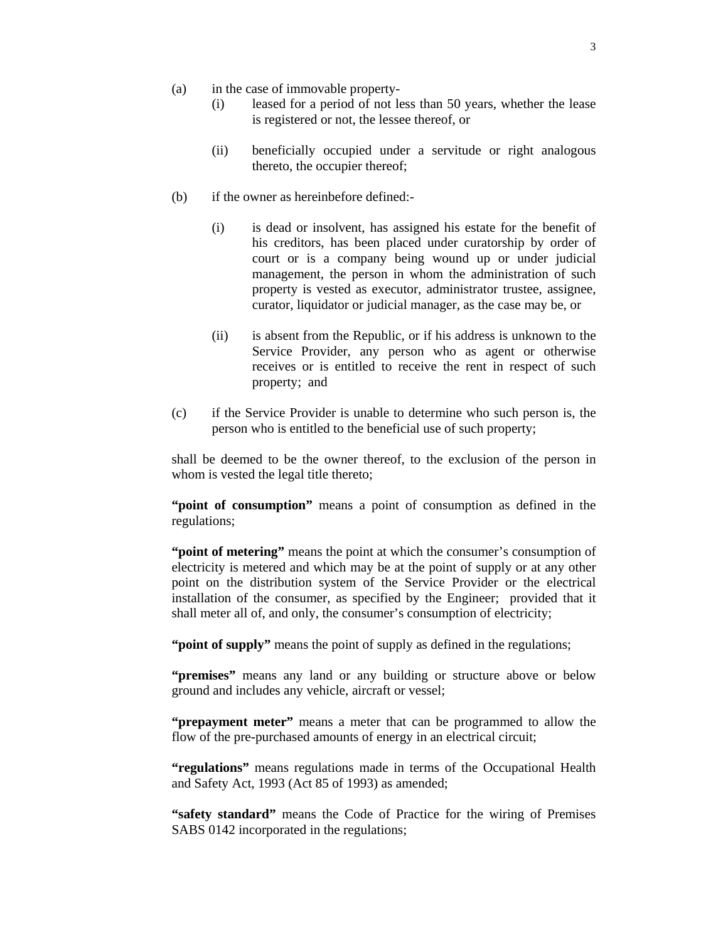- (a) in the case of immovable property-
	- (i) leased for a period of not less than 50 years, whether the lease is registered or not, the lessee thereof, or
	- (ii) beneficially occupied under a servitude or right analogous thereto, the occupier thereof;
- (b) if the owner as hereinbefore defined:-
	- (i) is dead or insolvent, has assigned his estate for the benefit of his creditors, has been placed under curatorship by order of court or is a company being wound up or under judicial management, the person in whom the administration of such property is vested as executor, administrator trustee, assignee, curator, liquidator or judicial manager, as the case may be, or
	- (ii) is absent from the Republic, or if his address is unknown to the Service Provider, any person who as agent or otherwise receives or is entitled to receive the rent in respect of such property; and
- (c) if the Service Provider is unable to determine who such person is, the person who is entitled to the beneficial use of such property;

shall be deemed to be the owner thereof, to the exclusion of the person in whom is vested the legal title thereto;

**"point of consumption"** means a point of consumption as defined in the regulations;

**"point of metering"** means the point at which the consumer's consumption of electricity is metered and which may be at the point of supply or at any other point on the distribution system of the Service Provider or the electrical installation of the consumer, as specified by the Engineer; provided that it shall meter all of, and only, the consumer's consumption of electricity;

**"point of supply"** means the point of supply as defined in the regulations;

**"premises"** means any land or any building or structure above or below ground and includes any vehicle, aircraft or vessel;

**"prepayment meter"** means a meter that can be programmed to allow the flow of the pre-purchased amounts of energy in an electrical circuit;

**"regulations"** means regulations made in terms of the Occupational Health and Safety Act, 1993 (Act 85 of 1993) as amended;

**"safety standard"** means the Code of Practice for the wiring of Premises SABS 0142 incorporated in the regulations;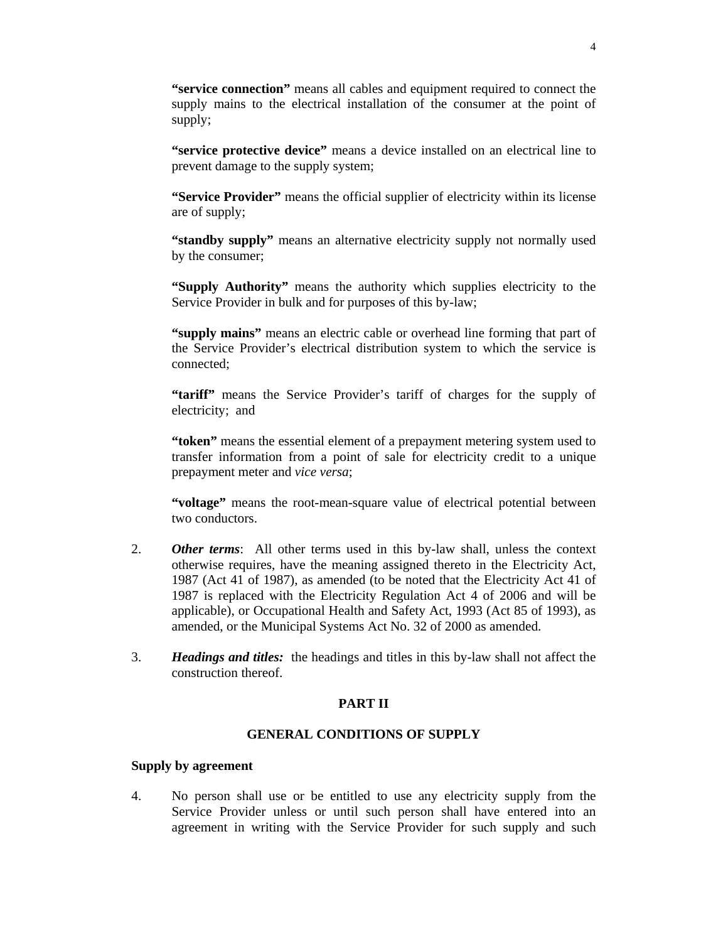**"service connection"** means all cables and equipment required to connect the supply mains to the electrical installation of the consumer at the point of supply;

**"service protective device"** means a device installed on an electrical line to prevent damage to the supply system;

**"Service Provider"** means the official supplier of electricity within its license are of supply;

**"standby supply"** means an alternative electricity supply not normally used by the consumer;

**"Supply Authority"** means the authority which supplies electricity to the Service Provider in bulk and for purposes of this by-law;

**"supply mains"** means an electric cable or overhead line forming that part of the Service Provider's electrical distribution system to which the service is connected;

**"tariff"** means the Service Provider's tariff of charges for the supply of electricity; and

**"token"** means the essential element of a prepayment metering system used to transfer information from a point of sale for electricity credit to a unique prepayment meter and *vice versa*;

"voltage" means the root-mean-square value of electrical potential between two conductors.

- 2. *Other terms*: All other terms used in this by-law shall, unless the context otherwise requires, have the meaning assigned thereto in the Electricity Act, 1987 (Act 41 of 1987), as amended (to be noted that the Electricity Act 41 of 1987 is replaced with the Electricity Regulation Act 4 of 2006 and will be applicable), or Occupational Health and Safety Act, 1993 (Act 85 of 1993), as amended, or the Municipal Systems Act No. 32 of 2000 as amended.
- 3. *Headings and titles:* the headings and titles in this by-law shall not affect the construction thereof.

#### **PART II**

# **GENERAL CONDITIONS OF SUPPLY**

#### **Supply by agreement**

4. No person shall use or be entitled to use any electricity supply from the Service Provider unless or until such person shall have entered into an agreement in writing with the Service Provider for such supply and such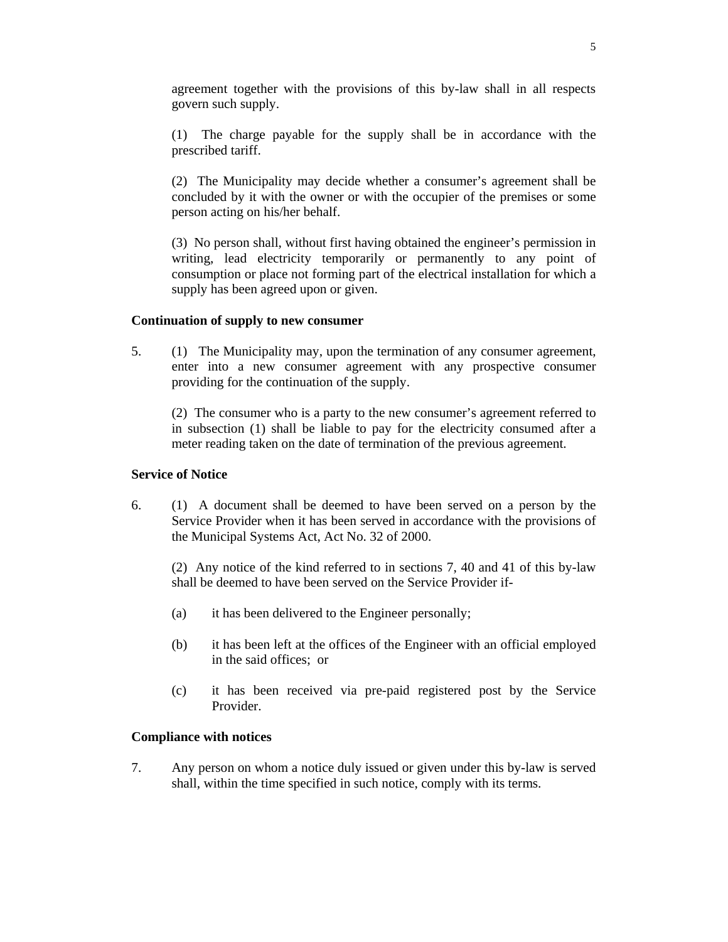agreement together with the provisions of this by-law shall in all respects govern such supply.

 (1) The charge payable for the supply shall be in accordance with the prescribed tariff.

 (2) The Municipality may decide whether a consumer's agreement shall be concluded by it with the owner or with the occupier of the premises or some person acting on his/her behalf.

 (3) No person shall, without first having obtained the engineer's permission in writing, lead electricity temporarily or permanently to any point of consumption or place not forming part of the electrical installation for which a supply has been agreed upon or given.

## **Continuation of supply to new consumer**

5. (1) The Municipality may, upon the termination of any consumer agreement, enter into a new consumer agreement with any prospective consumer providing for the continuation of the supply.

 (2) The consumer who is a party to the new consumer's agreement referred to in subsection (1) shall be liable to pay for the electricity consumed after a meter reading taken on the date of termination of the previous agreement.

### **Service of Notice**

6. (1) A document shall be deemed to have been served on a person by the Service Provider when it has been served in accordance with the provisions of the Municipal Systems Act, Act No. 32 of 2000.

 (2) Any notice of the kind referred to in sections 7, 40 and 41 of this by-law shall be deemed to have been served on the Service Provider if-

- (a) it has been delivered to the Engineer personally;
- (b) it has been left at the offices of the Engineer with an official employed in the said offices; or
- (c) it has been received via pre-paid registered post by the Service Provider.

# **Compliance with notices**

7. Any person on whom a notice duly issued or given under this by-law is served shall, within the time specified in such notice, comply with its terms.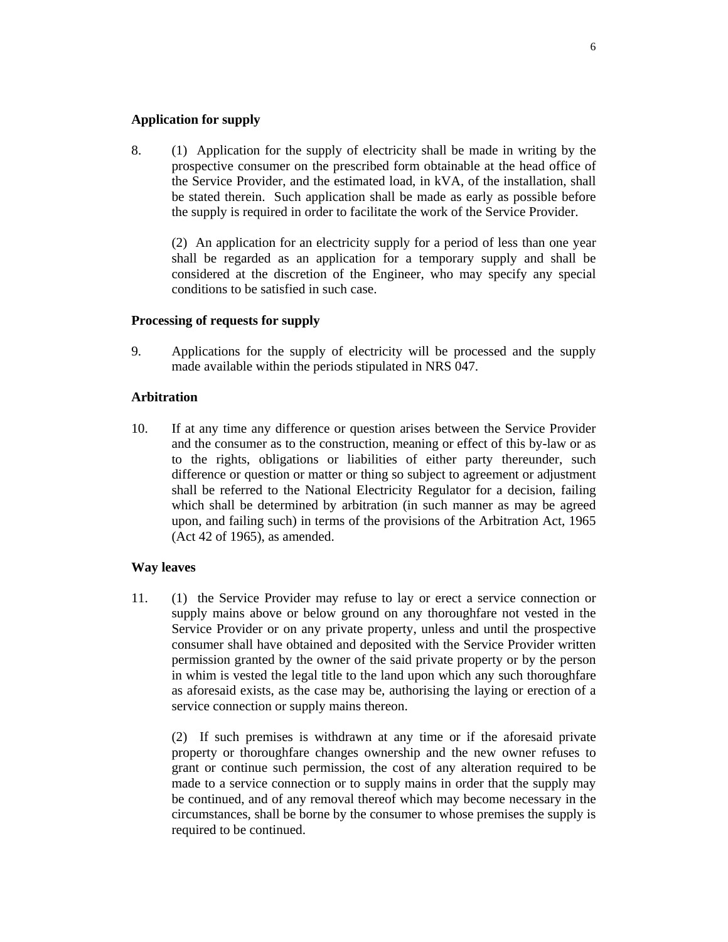### **Application for supply**

8. (1) Application for the supply of electricity shall be made in writing by the prospective consumer on the prescribed form obtainable at the head office of the Service Provider, and the estimated load, in kVA, of the installation, shall be stated therein. Such application shall be made as early as possible before the supply is required in order to facilitate the work of the Service Provider.

 (2) An application for an electricity supply for a period of less than one year shall be regarded as an application for a temporary supply and shall be considered at the discretion of the Engineer, who may specify any special conditions to be satisfied in such case.

## **Processing of requests for supply**

9. Applications for the supply of electricity will be processed and the supply made available within the periods stipulated in NRS 047.

## **Arbitration**

10. If at any time any difference or question arises between the Service Provider and the consumer as to the construction, meaning or effect of this by-law or as to the rights, obligations or liabilities of either party thereunder, such difference or question or matter or thing so subject to agreement or adjustment shall be referred to the National Electricity Regulator for a decision, failing which shall be determined by arbitration (in such manner as may be agreed upon, and failing such) in terms of the provisions of the Arbitration Act, 1965 (Act 42 of 1965), as amended.

#### **Way leaves**

11. (1) the Service Provider may refuse to lay or erect a service connection or supply mains above or below ground on any thoroughfare not vested in the Service Provider or on any private property, unless and until the prospective consumer shall have obtained and deposited with the Service Provider written permission granted by the owner of the said private property or by the person in whim is vested the legal title to the land upon which any such thoroughfare as aforesaid exists, as the case may be, authorising the laying or erection of a service connection or supply mains thereon.

 (2) If such premises is withdrawn at any time or if the aforesaid private property or thoroughfare changes ownership and the new owner refuses to grant or continue such permission, the cost of any alteration required to be made to a service connection or to supply mains in order that the supply may be continued, and of any removal thereof which may become necessary in the circumstances, shall be borne by the consumer to whose premises the supply is required to be continued.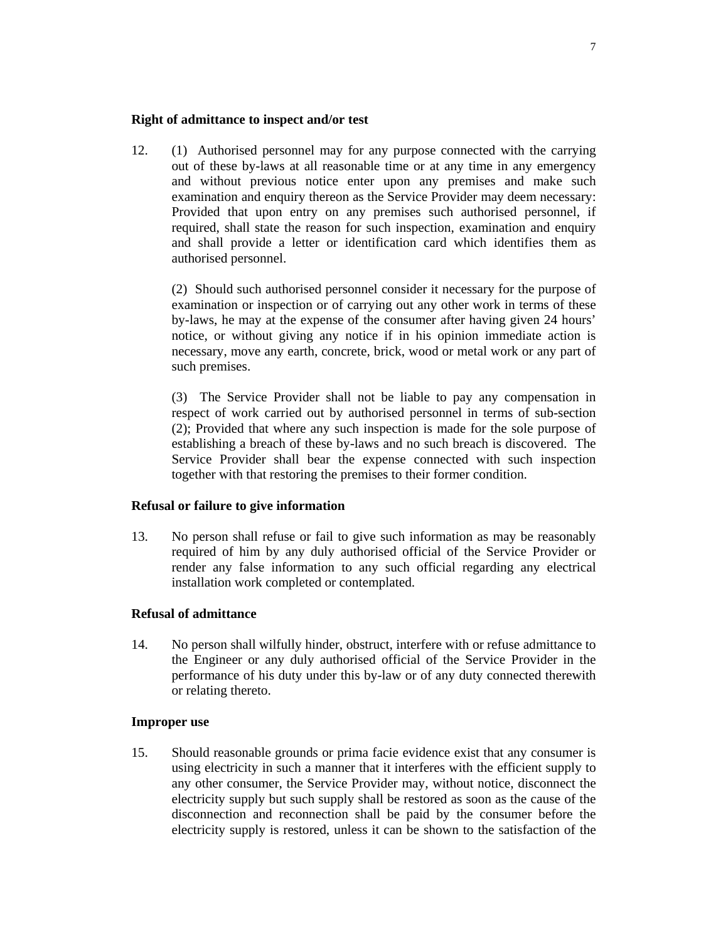#### **Right of admittance to inspect and/or test**

12. (1) Authorised personnel may for any purpose connected with the carrying out of these by-laws at all reasonable time or at any time in any emergency and without previous notice enter upon any premises and make such examination and enquiry thereon as the Service Provider may deem necessary: Provided that upon entry on any premises such authorised personnel, if required, shall state the reason for such inspection, examination and enquiry and shall provide a letter or identification card which identifies them as authorised personnel.

 (2) Should such authorised personnel consider it necessary for the purpose of examination or inspection or of carrying out any other work in terms of these by-laws, he may at the expense of the consumer after having given 24 hours' notice, or without giving any notice if in his opinion immediate action is necessary, move any earth, concrete, brick, wood or metal work or any part of such premises.

 (3) The Service Provider shall not be liable to pay any compensation in respect of work carried out by authorised personnel in terms of sub-section (2); Provided that where any such inspection is made for the sole purpose of establishing a breach of these by-laws and no such breach is discovered. The Service Provider shall bear the expense connected with such inspection together with that restoring the premises to their former condition.

#### **Refusal or failure to give information**

13. No person shall refuse or fail to give such information as may be reasonably required of him by any duly authorised official of the Service Provider or render any false information to any such official regarding any electrical installation work completed or contemplated.

# **Refusal of admittance**

14. No person shall wilfully hinder, obstruct, interfere with or refuse admittance to the Engineer or any duly authorised official of the Service Provider in the performance of his duty under this by-law or of any duty connected therewith or relating thereto.

#### **Improper use**

15. Should reasonable grounds or prima facie evidence exist that any consumer is using electricity in such a manner that it interferes with the efficient supply to any other consumer, the Service Provider may, without notice, disconnect the electricity supply but such supply shall be restored as soon as the cause of the disconnection and reconnection shall be paid by the consumer before the electricity supply is restored, unless it can be shown to the satisfaction of the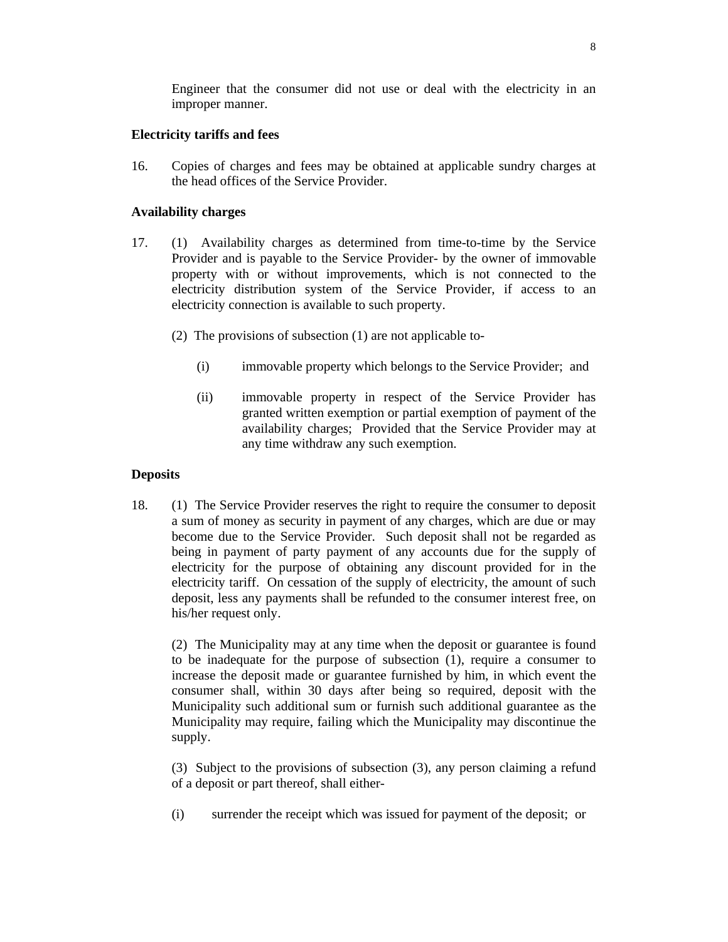Engineer that the consumer did not use or deal with the electricity in an improper manner.

# **Electricity tariffs and fees**

16. Copies of charges and fees may be obtained at applicable sundry charges at the head offices of the Service Provider.

## **Availability charges**

- 17. (1) Availability charges as determined from time-to-time by the Service Provider and is payable to the Service Provider- by the owner of immovable property with or without improvements, which is not connected to the electricity distribution system of the Service Provider, if access to an electricity connection is available to such property.
	- (2) The provisions of subsection (1) are not applicable to-
		- (i) immovable property which belongs to the Service Provider; and
		- (ii) immovable property in respect of the Service Provider has granted written exemption or partial exemption of payment of the availability charges; Provided that the Service Provider may at any time withdraw any such exemption.

### **Deposits**

18. (1) The Service Provider reserves the right to require the consumer to deposit a sum of money as security in payment of any charges, which are due or may become due to the Service Provider. Such deposit shall not be regarded as being in payment of party payment of any accounts due for the supply of electricity for the purpose of obtaining any discount provided for in the electricity tariff. On cessation of the supply of electricity, the amount of such deposit, less any payments shall be refunded to the consumer interest free, on his/her request only.

 (2) The Municipality may at any time when the deposit or guarantee is found to be inadequate for the purpose of subsection (1), require a consumer to increase the deposit made or guarantee furnished by him, in which event the consumer shall, within 30 days after being so required, deposit with the Municipality such additional sum or furnish such additional guarantee as the Municipality may require, failing which the Municipality may discontinue the supply.

 (3) Subject to the provisions of subsection (3), any person claiming a refund of a deposit or part thereof, shall either-

(i) surrender the receipt which was issued for payment of the deposit; or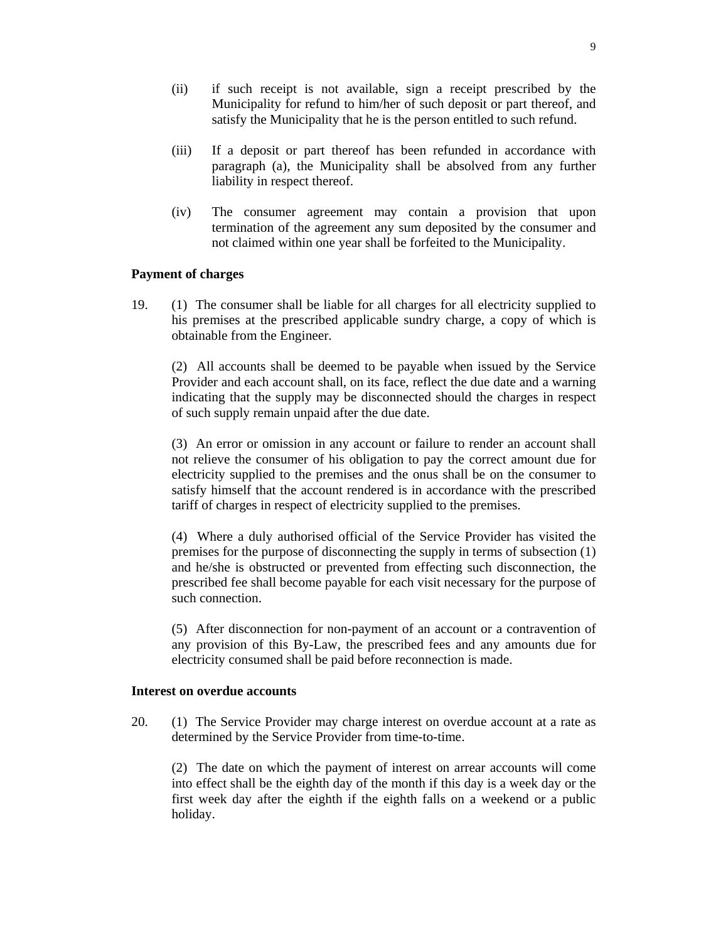- (ii) if such receipt is not available, sign a receipt prescribed by the Municipality for refund to him/her of such deposit or part thereof, and satisfy the Municipality that he is the person entitled to such refund.
- (iii) If a deposit or part thereof has been refunded in accordance with paragraph (a), the Municipality shall be absolved from any further liability in respect thereof.
- (iv) The consumer agreement may contain a provision that upon termination of the agreement any sum deposited by the consumer and not claimed within one year shall be forfeited to the Municipality.

# **Payment of charges**

19. (1) The consumer shall be liable for all charges for all electricity supplied to his premises at the prescribed applicable sundry charge, a copy of which is obtainable from the Engineer.

 (2) All accounts shall be deemed to be payable when issued by the Service Provider and each account shall, on its face, reflect the due date and a warning indicating that the supply may be disconnected should the charges in respect of such supply remain unpaid after the due date.

 (3) An error or omission in any account or failure to render an account shall not relieve the consumer of his obligation to pay the correct amount due for electricity supplied to the premises and the onus shall be on the consumer to satisfy himself that the account rendered is in accordance with the prescribed tariff of charges in respect of electricity supplied to the premises.

 (4) Where a duly authorised official of the Service Provider has visited the premises for the purpose of disconnecting the supply in terms of subsection (1) and he/she is obstructed or prevented from effecting such disconnection, the prescribed fee shall become payable for each visit necessary for the purpose of such connection.

 (5) After disconnection for non-payment of an account or a contravention of any provision of this By-Law, the prescribed fees and any amounts due for electricity consumed shall be paid before reconnection is made.

#### **Interest on overdue accounts**

20. (1) The Service Provider may charge interest on overdue account at a rate as determined by the Service Provider from time-to-time.

 (2) The date on which the payment of interest on arrear accounts will come into effect shall be the eighth day of the month if this day is a week day or the first week day after the eighth if the eighth falls on a weekend or a public holiday.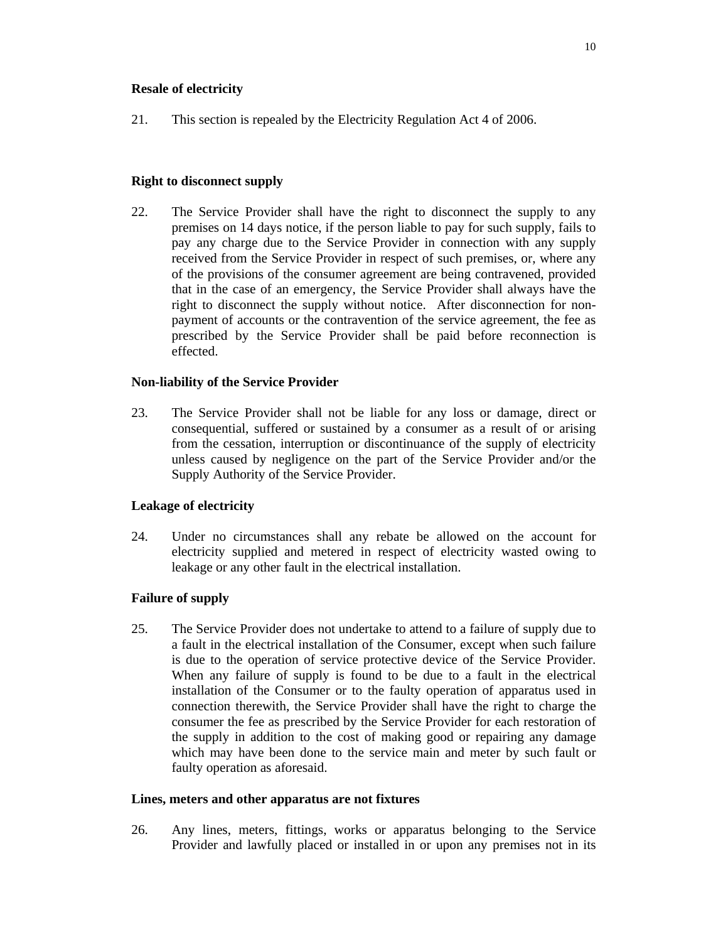# **Resale of electricity**

21. This section is repealed by the Electricity Regulation Act 4 of 2006.

# **Right to disconnect supply**

22. The Service Provider shall have the right to disconnect the supply to any premises on 14 days notice, if the person liable to pay for such supply, fails to pay any charge due to the Service Provider in connection with any supply received from the Service Provider in respect of such premises, or, where any of the provisions of the consumer agreement are being contravened, provided that in the case of an emergency, the Service Provider shall always have the right to disconnect the supply without notice. After disconnection for nonpayment of accounts or the contravention of the service agreement, the fee as prescribed by the Service Provider shall be paid before reconnection is effected.

# **Non-liability of the Service Provider**

23. The Service Provider shall not be liable for any loss or damage, direct or consequential, suffered or sustained by a consumer as a result of or arising from the cessation, interruption or discontinuance of the supply of electricity unless caused by negligence on the part of the Service Provider and/or the Supply Authority of the Service Provider.

# **Leakage of electricity**

24. Under no circumstances shall any rebate be allowed on the account for electricity supplied and metered in respect of electricity wasted owing to leakage or any other fault in the electrical installation.

# **Failure of supply**

25. The Service Provider does not undertake to attend to a failure of supply due to a fault in the electrical installation of the Consumer, except when such failure is due to the operation of service protective device of the Service Provider. When any failure of supply is found to be due to a fault in the electrical installation of the Consumer or to the faulty operation of apparatus used in connection therewith, the Service Provider shall have the right to charge the consumer the fee as prescribed by the Service Provider for each restoration of the supply in addition to the cost of making good or repairing any damage which may have been done to the service main and meter by such fault or faulty operation as aforesaid.

# **Lines, meters and other apparatus are not fixtures**

26. Any lines, meters, fittings, works or apparatus belonging to the Service Provider and lawfully placed or installed in or upon any premises not in its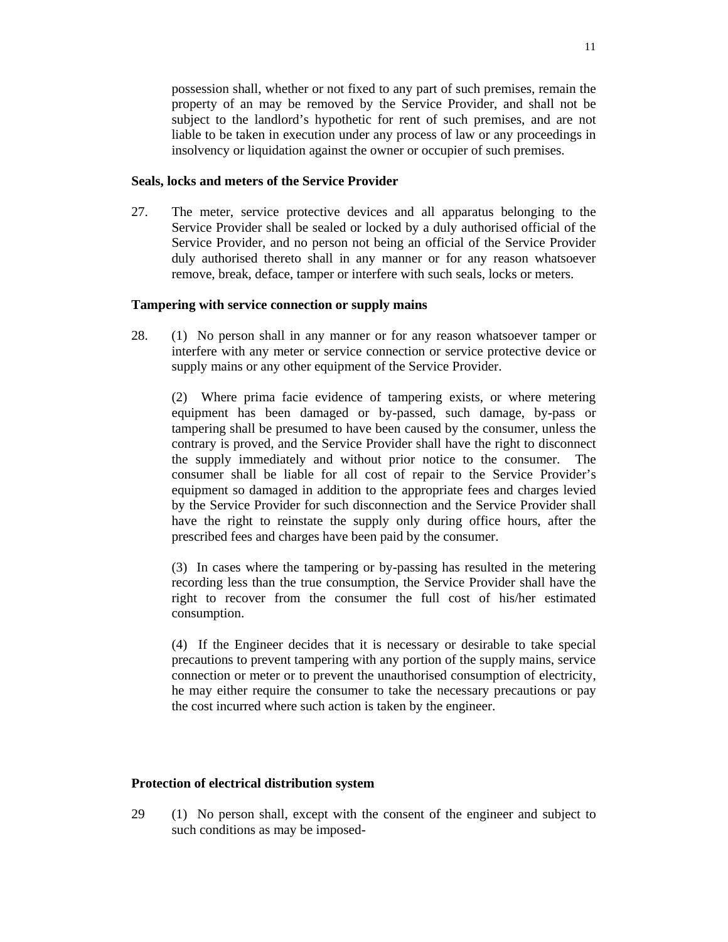possession shall, whether or not fixed to any part of such premises, remain the property of an may be removed by the Service Provider, and shall not be subject to the landlord's hypothetic for rent of such premises, and are not liable to be taken in execution under any process of law or any proceedings in insolvency or liquidation against the owner or occupier of such premises.

#### **Seals, locks and meters of the Service Provider**

27. The meter, service protective devices and all apparatus belonging to the Service Provider shall be sealed or locked by a duly authorised official of the Service Provider, and no person not being an official of the Service Provider duly authorised thereto shall in any manner or for any reason whatsoever remove, break, deface, tamper or interfere with such seals, locks or meters.

#### **Tampering with service connection or supply mains**

28. (1) No person shall in any manner or for any reason whatsoever tamper or interfere with any meter or service connection or service protective device or supply mains or any other equipment of the Service Provider.

 (2) Where prima facie evidence of tampering exists, or where metering equipment has been damaged or by-passed, such damage, by-pass or tampering shall be presumed to have been caused by the consumer, unless the contrary is proved, and the Service Provider shall have the right to disconnect the supply immediately and without prior notice to the consumer. The consumer shall be liable for all cost of repair to the Service Provider's equipment so damaged in addition to the appropriate fees and charges levied by the Service Provider for such disconnection and the Service Provider shall have the right to reinstate the supply only during office hours, after the prescribed fees and charges have been paid by the consumer.

 (3) In cases where the tampering or by-passing has resulted in the metering recording less than the true consumption, the Service Provider shall have the right to recover from the consumer the full cost of his/her estimated consumption.

 (4) If the Engineer decides that it is necessary or desirable to take special precautions to prevent tampering with any portion of the supply mains, service connection or meter or to prevent the unauthorised consumption of electricity, he may either require the consumer to take the necessary precautions or pay the cost incurred where such action is taken by the engineer.

#### **Protection of electrical distribution system**

29 (1) No person shall, except with the consent of the engineer and subject to such conditions as may be imposed-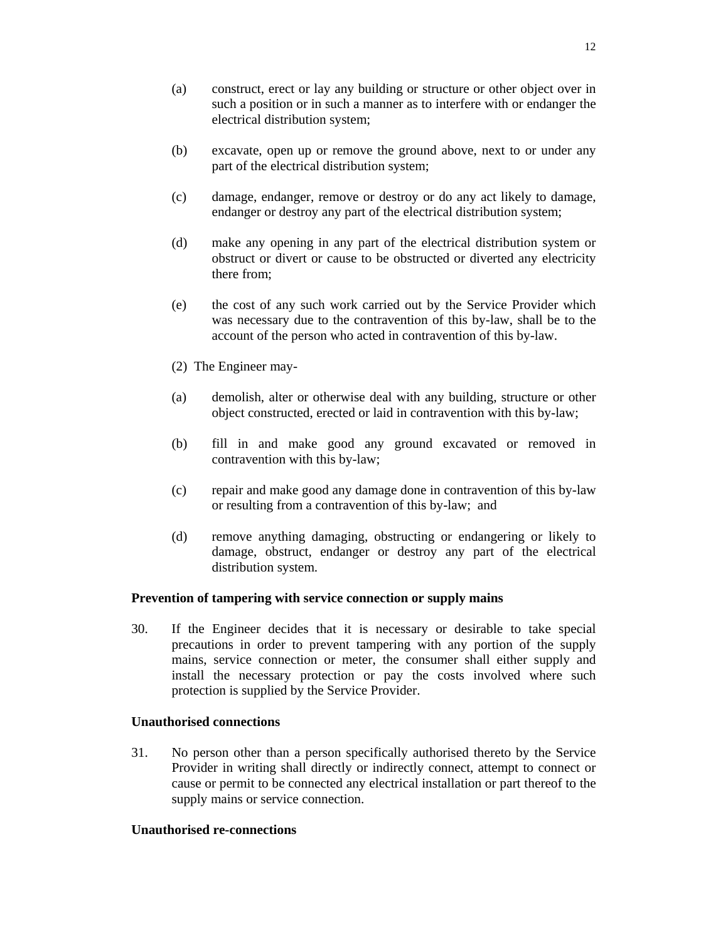- (a) construct, erect or lay any building or structure or other object over in such a position or in such a manner as to interfere with or endanger the electrical distribution system;
- (b) excavate, open up or remove the ground above, next to or under any part of the electrical distribution system;
- (c) damage, endanger, remove or destroy or do any act likely to damage, endanger or destroy any part of the electrical distribution system;
- (d) make any opening in any part of the electrical distribution system or obstruct or divert or cause to be obstructed or diverted any electricity there from;
- (e) the cost of any such work carried out by the Service Provider which was necessary due to the contravention of this by-law, shall be to the account of the person who acted in contravention of this by-law.
- (2) The Engineer may-
- (a) demolish, alter or otherwise deal with any building, structure or other object constructed, erected or laid in contravention with this by-law;
- (b) fill in and make good any ground excavated or removed in contravention with this by-law;
- (c) repair and make good any damage done in contravention of this by-law or resulting from a contravention of this by-law; and
- (d) remove anything damaging, obstructing or endangering or likely to damage, obstruct, endanger or destroy any part of the electrical distribution system.

#### **Prevention of tampering with service connection or supply mains**

30. If the Engineer decides that it is necessary or desirable to take special precautions in order to prevent tampering with any portion of the supply mains, service connection or meter, the consumer shall either supply and install the necessary protection or pay the costs involved where such protection is supplied by the Service Provider.

#### **Unauthorised connections**

31. No person other than a person specifically authorised thereto by the Service Provider in writing shall directly or indirectly connect, attempt to connect or cause or permit to be connected any electrical installation or part thereof to the supply mains or service connection.

#### **Unauthorised re-connections**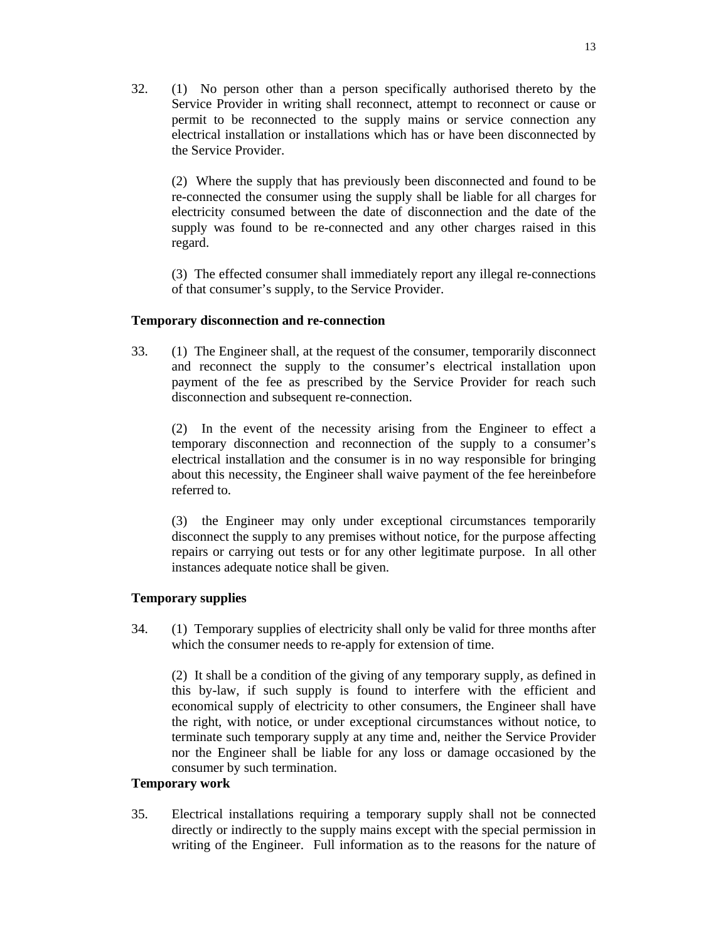32. (1) No person other than a person specifically authorised thereto by the Service Provider in writing shall reconnect, attempt to reconnect or cause or permit to be reconnected to the supply mains or service connection any electrical installation or installations which has or have been disconnected by the Service Provider.

 (2) Where the supply that has previously been disconnected and found to be re-connected the consumer using the supply shall be liable for all charges for electricity consumed between the date of disconnection and the date of the supply was found to be re-connected and any other charges raised in this regard.

 (3) The effected consumer shall immediately report any illegal re-connections of that consumer's supply, to the Service Provider.

#### **Temporary disconnection and re-connection**

33. (1) The Engineer shall, at the request of the consumer, temporarily disconnect and reconnect the supply to the consumer's electrical installation upon payment of the fee as prescribed by the Service Provider for reach such disconnection and subsequent re-connection.

 (2) In the event of the necessity arising from the Engineer to effect a temporary disconnection and reconnection of the supply to a consumer's electrical installation and the consumer is in no way responsible for bringing about this necessity, the Engineer shall waive payment of the fee hereinbefore referred to.

 (3) the Engineer may only under exceptional circumstances temporarily disconnect the supply to any premises without notice, for the purpose affecting repairs or carrying out tests or for any other legitimate purpose. In all other instances adequate notice shall be given.

#### **Temporary supplies**

34. (1) Temporary supplies of electricity shall only be valid for three months after which the consumer needs to re-apply for extension of time.

 (2) It shall be a condition of the giving of any temporary supply, as defined in this by-law, if such supply is found to interfere with the efficient and economical supply of electricity to other consumers, the Engineer shall have the right, with notice, or under exceptional circumstances without notice, to terminate such temporary supply at any time and, neither the Service Provider nor the Engineer shall be liable for any loss or damage occasioned by the consumer by such termination.

#### **Temporary work**

35. Electrical installations requiring a temporary supply shall not be connected directly or indirectly to the supply mains except with the special permission in writing of the Engineer. Full information as to the reasons for the nature of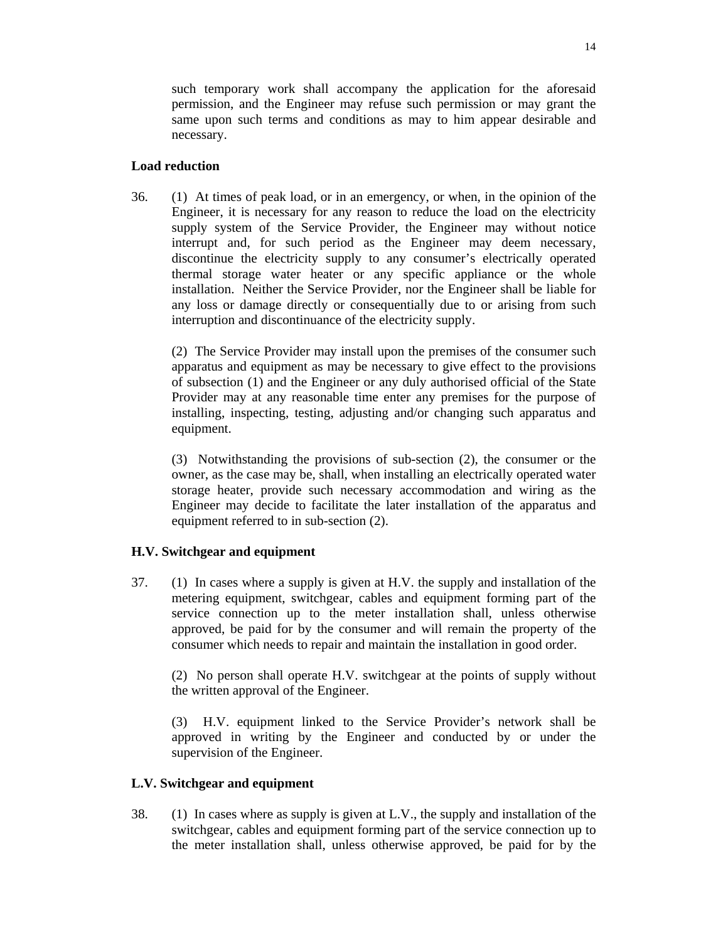such temporary work shall accompany the application for the aforesaid permission, and the Engineer may refuse such permission or may grant the same upon such terms and conditions as may to him appear desirable and necessary.

## **Load reduction**

36. (1) At times of peak load, or in an emergency, or when, in the opinion of the Engineer, it is necessary for any reason to reduce the load on the electricity supply system of the Service Provider, the Engineer may without notice interrupt and, for such period as the Engineer may deem necessary, discontinue the electricity supply to any consumer's electrically operated thermal storage water heater or any specific appliance or the whole installation. Neither the Service Provider, nor the Engineer shall be liable for any loss or damage directly or consequentially due to or arising from such interruption and discontinuance of the electricity supply.

 (2) The Service Provider may install upon the premises of the consumer such apparatus and equipment as may be necessary to give effect to the provisions of subsection (1) and the Engineer or any duly authorised official of the State Provider may at any reasonable time enter any premises for the purpose of installing, inspecting, testing, adjusting and/or changing such apparatus and equipment.

 (3) Notwithstanding the provisions of sub-section (2), the consumer or the owner, as the case may be, shall, when installing an electrically operated water storage heater, provide such necessary accommodation and wiring as the Engineer may decide to facilitate the later installation of the apparatus and equipment referred to in sub-section (2).

# **H.V. Switchgear and equipment**

37. (1) In cases where a supply is given at H.V. the supply and installation of the metering equipment, switchgear, cables and equipment forming part of the service connection up to the meter installation shall, unless otherwise approved, be paid for by the consumer and will remain the property of the consumer which needs to repair and maintain the installation in good order.

 (2) No person shall operate H.V. switchgear at the points of supply without the written approval of the Engineer.

 (3) H.V. equipment linked to the Service Provider's network shall be approved in writing by the Engineer and conducted by or under the supervision of the Engineer.

#### **L.V. Switchgear and equipment**

38. (1) In cases where as supply is given at L.V., the supply and installation of the switchgear, cables and equipment forming part of the service connection up to the meter installation shall, unless otherwise approved, be paid for by the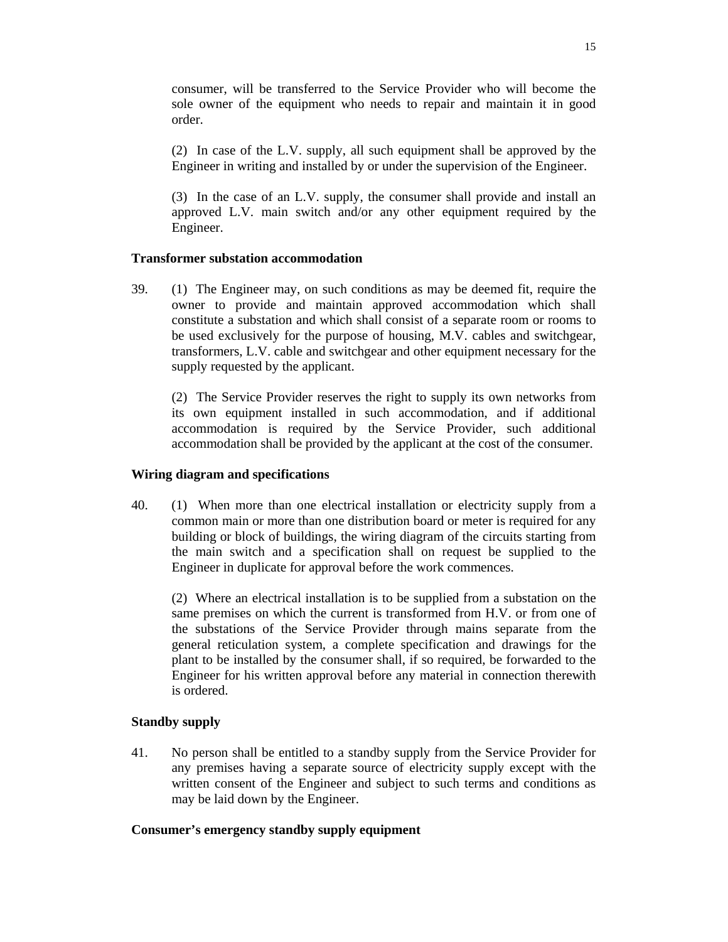consumer, will be transferred to the Service Provider who will become the sole owner of the equipment who needs to repair and maintain it in good order.

 (2) In case of the L.V. supply, all such equipment shall be approved by the Engineer in writing and installed by or under the supervision of the Engineer.

 (3) In the case of an L.V. supply, the consumer shall provide and install an approved L.V. main switch and/or any other equipment required by the Engineer.

## **Transformer substation accommodation**

39. (1) The Engineer may, on such conditions as may be deemed fit, require the owner to provide and maintain approved accommodation which shall constitute a substation and which shall consist of a separate room or rooms to be used exclusively for the purpose of housing, M.V. cables and switchgear, transformers, L.V. cable and switchgear and other equipment necessary for the supply requested by the applicant.

 (2) The Service Provider reserves the right to supply its own networks from its own equipment installed in such accommodation, and if additional accommodation is required by the Service Provider, such additional accommodation shall be provided by the applicant at the cost of the consumer.

### **Wiring diagram and specifications**

40. (1) When more than one electrical installation or electricity supply from a common main or more than one distribution board or meter is required for any building or block of buildings, the wiring diagram of the circuits starting from the main switch and a specification shall on request be supplied to the Engineer in duplicate for approval before the work commences.

 (2) Where an electrical installation is to be supplied from a substation on the same premises on which the current is transformed from H.V. or from one of the substations of the Service Provider through mains separate from the general reticulation system, a complete specification and drawings for the plant to be installed by the consumer shall, if so required, be forwarded to the Engineer for his written approval before any material in connection therewith is ordered.

# **Standby supply**

41. No person shall be entitled to a standby supply from the Service Provider for any premises having a separate source of electricity supply except with the written consent of the Engineer and subject to such terms and conditions as may be laid down by the Engineer.

#### **Consumer's emergency standby supply equipment**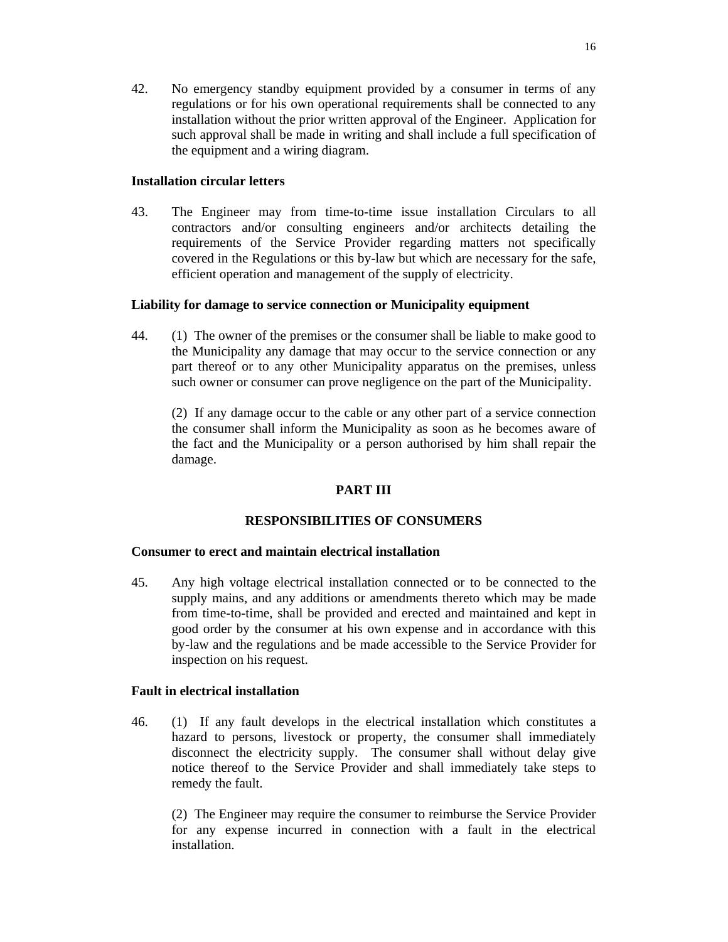42. No emergency standby equipment provided by a consumer in terms of any regulations or for his own operational requirements shall be connected to any installation without the prior written approval of the Engineer. Application for such approval shall be made in writing and shall include a full specification of the equipment and a wiring diagram.

## **Installation circular letters**

43. The Engineer may from time-to-time issue installation Circulars to all contractors and/or consulting engineers and/or architects detailing the requirements of the Service Provider regarding matters not specifically covered in the Regulations or this by-law but which are necessary for the safe, efficient operation and management of the supply of electricity.

## **Liability for damage to service connection or Municipality equipment**

44. (1) The owner of the premises or the consumer shall be liable to make good to the Municipality any damage that may occur to the service connection or any part thereof or to any other Municipality apparatus on the premises, unless such owner or consumer can prove negligence on the part of the Municipality.

 (2) If any damage occur to the cable or any other part of a service connection the consumer shall inform the Municipality as soon as he becomes aware of the fact and the Municipality or a person authorised by him shall repair the damage.

# **PART III**

#### **RESPONSIBILITIES OF CONSUMERS**

#### **Consumer to erect and maintain electrical installation**

45. Any high voltage electrical installation connected or to be connected to the supply mains, and any additions or amendments thereto which may be made from time-to-time, shall be provided and erected and maintained and kept in good order by the consumer at his own expense and in accordance with this by-law and the regulations and be made accessible to the Service Provider for inspection on his request.

# **Fault in electrical installation**

46. (1) If any fault develops in the electrical installation which constitutes a hazard to persons, livestock or property, the consumer shall immediately disconnect the electricity supply. The consumer shall without delay give notice thereof to the Service Provider and shall immediately take steps to remedy the fault.

 (2) The Engineer may require the consumer to reimburse the Service Provider for any expense incurred in connection with a fault in the electrical installation.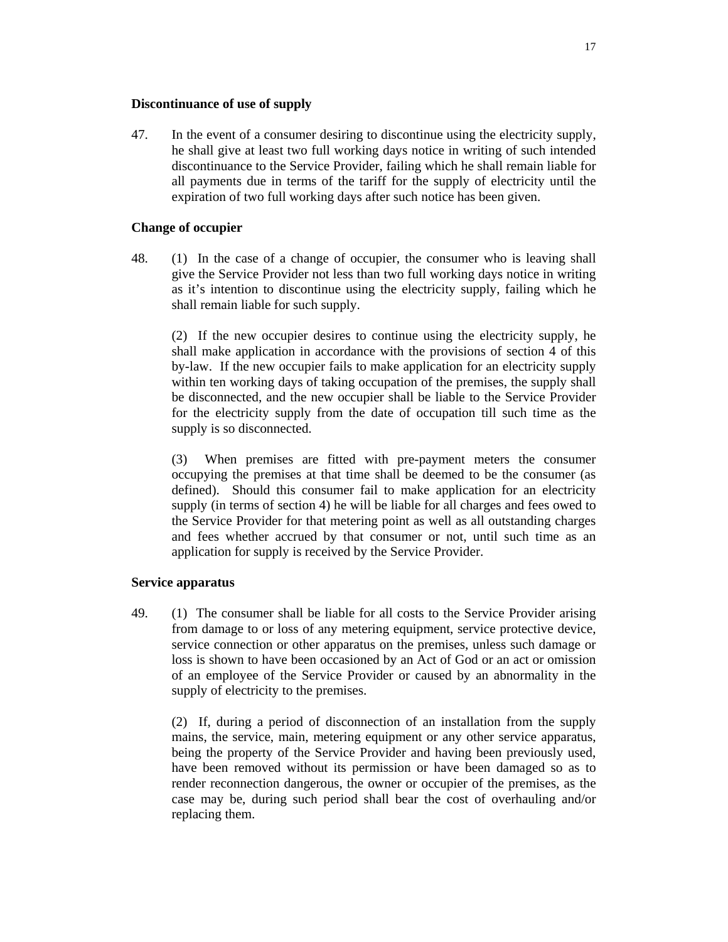# **Discontinuance of use of supply**

47. In the event of a consumer desiring to discontinue using the electricity supply, he shall give at least two full working days notice in writing of such intended discontinuance to the Service Provider, failing which he shall remain liable for all payments due in terms of the tariff for the supply of electricity until the expiration of two full working days after such notice has been given.

# **Change of occupier**

48. (1) In the case of a change of occupier, the consumer who is leaving shall give the Service Provider not less than two full working days notice in writing as it's intention to discontinue using the electricity supply, failing which he shall remain liable for such supply.

 (2) If the new occupier desires to continue using the electricity supply, he shall make application in accordance with the provisions of section 4 of this by-law. If the new occupier fails to make application for an electricity supply within ten working days of taking occupation of the premises, the supply shall be disconnected, and the new occupier shall be liable to the Service Provider for the electricity supply from the date of occupation till such time as the supply is so disconnected.

 (3) When premises are fitted with pre-payment meters the consumer occupying the premises at that time shall be deemed to be the consumer (as defined). Should this consumer fail to make application for an electricity supply (in terms of section 4) he will be liable for all charges and fees owed to the Service Provider for that metering point as well as all outstanding charges and fees whether accrued by that consumer or not, until such time as an application for supply is received by the Service Provider.

# **Service apparatus**

49. (1) The consumer shall be liable for all costs to the Service Provider arising from damage to or loss of any metering equipment, service protective device, service connection or other apparatus on the premises, unless such damage or loss is shown to have been occasioned by an Act of God or an act or omission of an employee of the Service Provider or caused by an abnormality in the supply of electricity to the premises.

 (2) If, during a period of disconnection of an installation from the supply mains, the service, main, metering equipment or any other service apparatus, being the property of the Service Provider and having been previously used, have been removed without its permission or have been damaged so as to render reconnection dangerous, the owner or occupier of the premises, as the case may be, during such period shall bear the cost of overhauling and/or replacing them.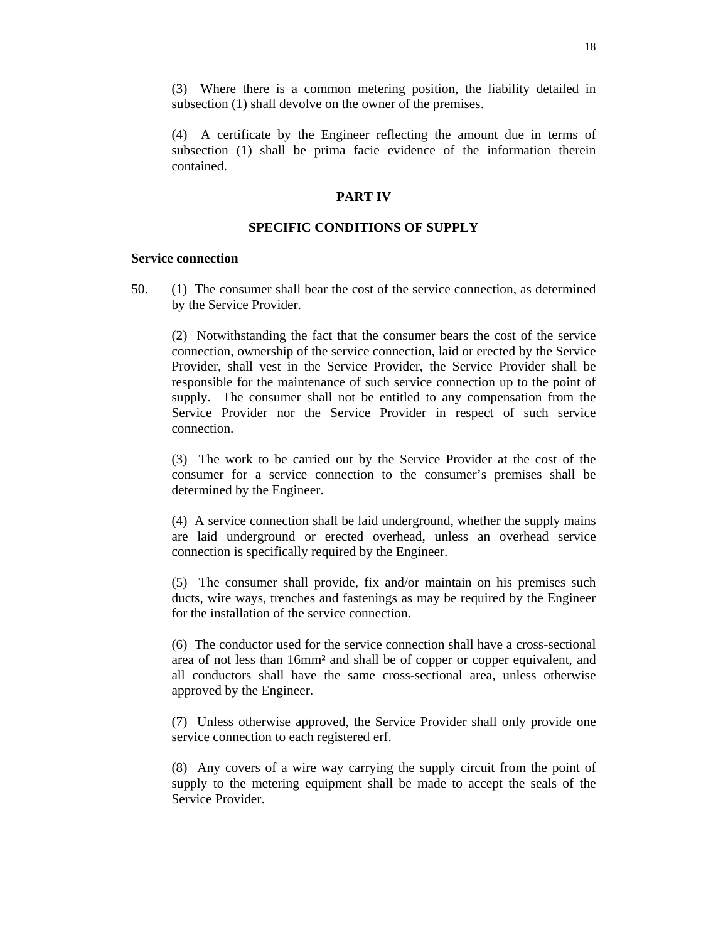(3) Where there is a common metering position, the liability detailed in subsection (1) shall devolve on the owner of the premises.

 (4) A certificate by the Engineer reflecting the amount due in terms of subsection (1) shall be prima facie evidence of the information therein contained.

#### **PART IV**

### **SPECIFIC CONDITIONS OF SUPPLY**

### **Service connection**

50. (1) The consumer shall bear the cost of the service connection, as determined by the Service Provider.

 (2) Notwithstanding the fact that the consumer bears the cost of the service connection, ownership of the service connection, laid or erected by the Service Provider, shall vest in the Service Provider, the Service Provider shall be responsible for the maintenance of such service connection up to the point of supply. The consumer shall not be entitled to any compensation from the Service Provider nor the Service Provider in respect of such service connection.

 (3) The work to be carried out by the Service Provider at the cost of the consumer for a service connection to the consumer's premises shall be determined by the Engineer.

 (4) A service connection shall be laid underground, whether the supply mains are laid underground or erected overhead, unless an overhead service connection is specifically required by the Engineer.

 (5) The consumer shall provide, fix and/or maintain on his premises such ducts, wire ways, trenches and fastenings as may be required by the Engineer for the installation of the service connection.

 (6) The conductor used for the service connection shall have a cross-sectional area of not less than 16mm² and shall be of copper or copper equivalent, and all conductors shall have the same cross-sectional area, unless otherwise approved by the Engineer.

 (7) Unless otherwise approved, the Service Provider shall only provide one service connection to each registered erf.

 (8) Any covers of a wire way carrying the supply circuit from the point of supply to the metering equipment shall be made to accept the seals of the Service Provider.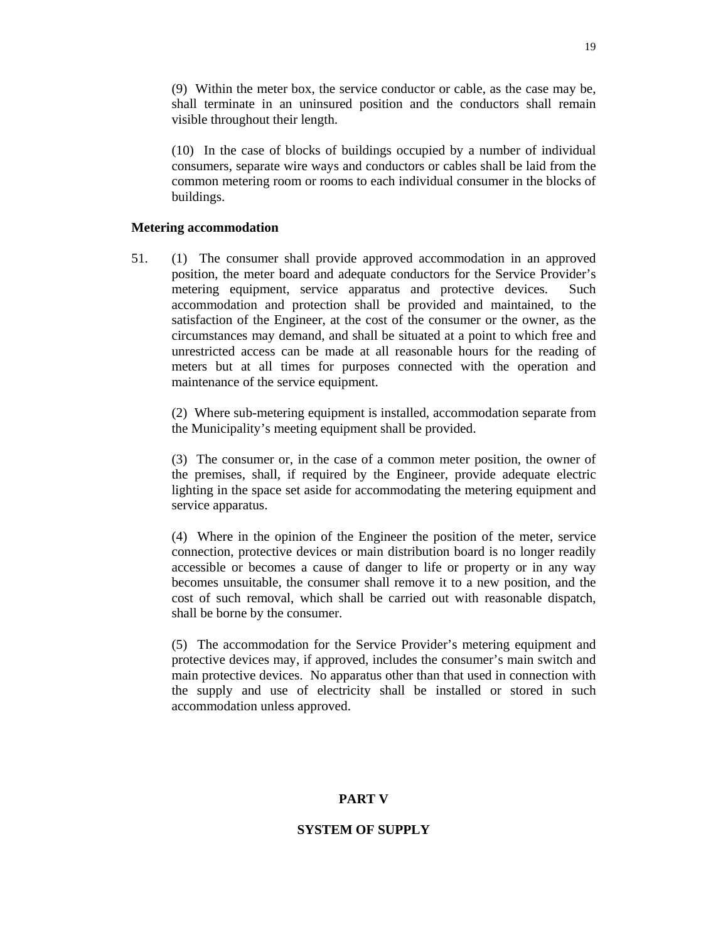(9) Within the meter box, the service conductor or cable, as the case may be, shall terminate in an uninsured position and the conductors shall remain visible throughout their length.

 (10) In the case of blocks of buildings occupied by a number of individual consumers, separate wire ways and conductors or cables shall be laid from the common metering room or rooms to each individual consumer in the blocks of buildings.

#### **Metering accommodation**

51. (1) The consumer shall provide approved accommodation in an approved position, the meter board and adequate conductors for the Service Provider's metering equipment, service apparatus and protective devices. Such accommodation and protection shall be provided and maintained, to the satisfaction of the Engineer, at the cost of the consumer or the owner, as the circumstances may demand, and shall be situated at a point to which free and unrestricted access can be made at all reasonable hours for the reading of meters but at all times for purposes connected with the operation and maintenance of the service equipment.

 (2) Where sub-metering equipment is installed, accommodation separate from the Municipality's meeting equipment shall be provided.

 (3) The consumer or, in the case of a common meter position, the owner of the premises, shall, if required by the Engineer, provide adequate electric lighting in the space set aside for accommodating the metering equipment and service apparatus.

 (4) Where in the opinion of the Engineer the position of the meter, service connection, protective devices or main distribution board is no longer readily accessible or becomes a cause of danger to life or property or in any way becomes unsuitable, the consumer shall remove it to a new position, and the cost of such removal, which shall be carried out with reasonable dispatch, shall be borne by the consumer.

 (5) The accommodation for the Service Provider's metering equipment and protective devices may, if approved, includes the consumer's main switch and main protective devices. No apparatus other than that used in connection with the supply and use of electricity shall be installed or stored in such accommodation unless approved.

#### **PART V**

#### **SYSTEM OF SUPPLY**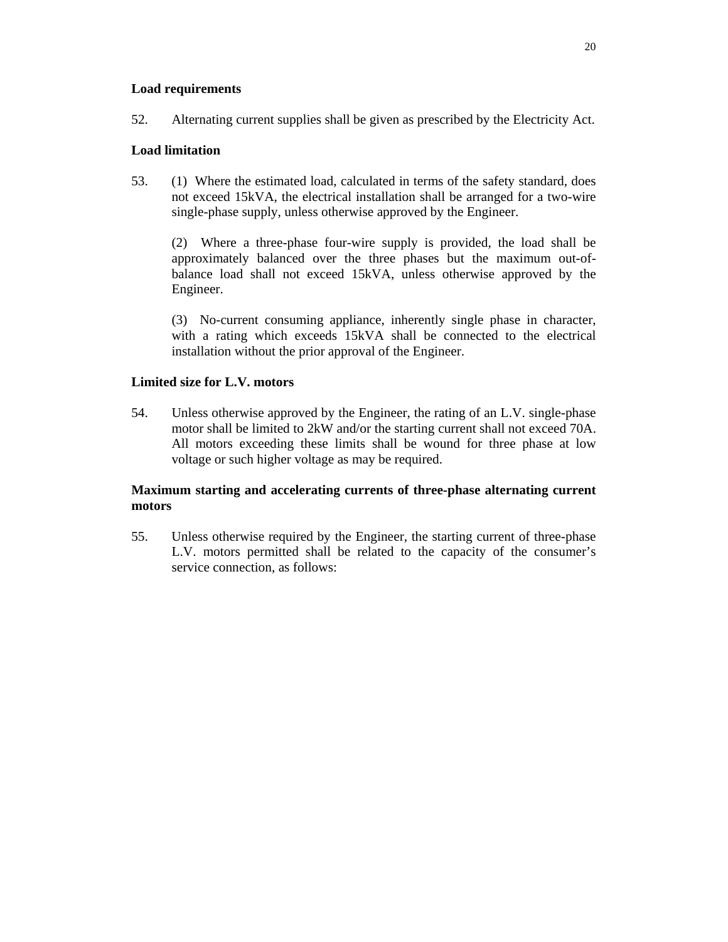## **Load requirements**

52. Alternating current supplies shall be given as prescribed by the Electricity Act.

# **Load limitation**

53. (1) Where the estimated load, calculated in terms of the safety standard, does not exceed 15kVA, the electrical installation shall be arranged for a two-wire single-phase supply, unless otherwise approved by the Engineer.

 (2) Where a three-phase four-wire supply is provided, the load shall be approximately balanced over the three phases but the maximum out-ofbalance load shall not exceed 15kVA, unless otherwise approved by the Engineer.

 (3) No-current consuming appliance, inherently single phase in character, with a rating which exceeds 15kVA shall be connected to the electrical installation without the prior approval of the Engineer.

## **Limited size for L.V. motors**

54. Unless otherwise approved by the Engineer, the rating of an L.V. single-phase motor shall be limited to 2kW and/or the starting current shall not exceed 70A. All motors exceeding these limits shall be wound for three phase at low voltage or such higher voltage as may be required.

# **Maximum starting and accelerating currents of three-phase alternating current motors**

55. Unless otherwise required by the Engineer, the starting current of three-phase L.V. motors permitted shall be related to the capacity of the consumer's service connection, as follows: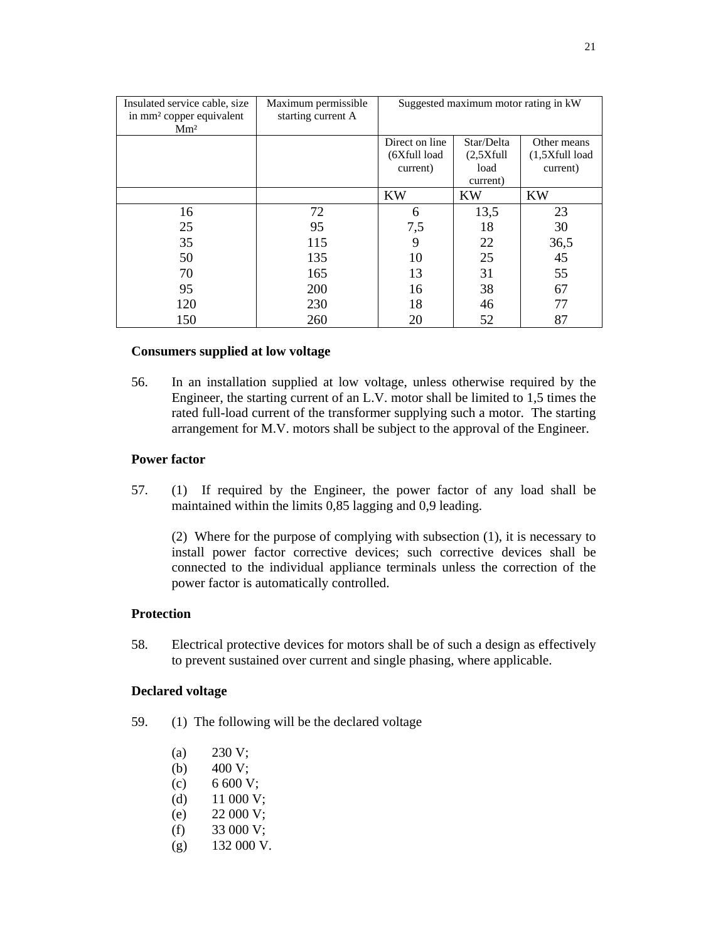| Insulated service cable, size<br>in mm <sup>2</sup> copper equivalent<br>Mm <sup>2</sup> | Maximum permissible<br>starting current A | Suggested maximum motor rating in kW |            |                  |
|------------------------------------------------------------------------------------------|-------------------------------------------|--------------------------------------|------------|------------------|
|                                                                                          |                                           | Direct on line                       | Star/Delta | Other means      |
|                                                                                          |                                           | (6Xfull load                         | (2,5Xfull) | $(1,5Xfull$ load |
|                                                                                          |                                           | current)                             | load       | current)         |
|                                                                                          |                                           |                                      | current)   |                  |
|                                                                                          |                                           | <b>KW</b>                            | <b>KW</b>  | <b>KW</b>        |
| 16                                                                                       | 72                                        | 6                                    | 13,5       | 23               |
| 25                                                                                       | 95                                        | 7,5                                  | 18         | 30               |
| 35                                                                                       | 115                                       | 9                                    | 22         | 36,5             |
| 50                                                                                       | 135                                       | 10                                   | 25         | 45               |
| 70                                                                                       | 165                                       | 13                                   | 31         | 55               |
| 95                                                                                       | 200                                       | 16                                   | 38         | 67               |
| 120                                                                                      | 230                                       | 18                                   | 46         | 77               |
| 150                                                                                      | 260                                       | 20                                   | 52         | 87               |

#### **Consumers supplied at low voltage**

56. In an installation supplied at low voltage, unless otherwise required by the Engineer, the starting current of an L.V. motor shall be limited to 1,5 times the rated full-load current of the transformer supplying such a motor. The starting arrangement for M.V. motors shall be subject to the approval of the Engineer.

### **Power factor**

57. (1) If required by the Engineer, the power factor of any load shall be maintained within the limits 0,85 lagging and 0,9 leading.

 (2) Where for the purpose of complying with subsection (1), it is necessary to install power factor corrective devices; such corrective devices shall be connected to the individual appliance terminals unless the correction of the power factor is automatically controlled.

#### **Protection**

58. Electrical protective devices for motors shall be of such a design as effectively to prevent sustained over current and single phasing, where applicable.

#### **Declared voltage**

- 59. (1) The following will be the declared voltage
	- (a)  $230 \text{ V}$ ;
	- (b)  $400 \text{ V};$
	- (c) 6 600 V;
	- (d)  $11\ 000\ V;$
	- (e) 22 000 V;
	- $(f)$  33 000 V;
	- $(g)$  132 000 V.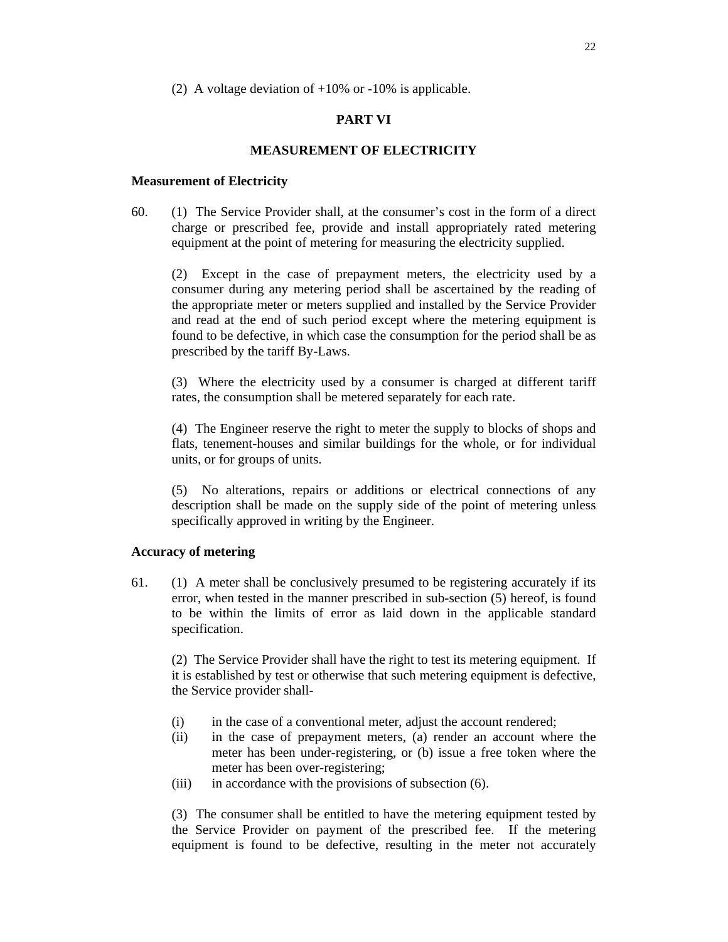(2) A voltage deviation of +10% or -10% is applicable.

## **PART VI**

## **MEASUREMENT OF ELECTRICITY**

#### **Measurement of Electricity**

60. (1) The Service Provider shall, at the consumer's cost in the form of a direct charge or prescribed fee, provide and install appropriately rated metering equipment at the point of metering for measuring the electricity supplied.

 (2) Except in the case of prepayment meters, the electricity used by a consumer during any metering period shall be ascertained by the reading of the appropriate meter or meters supplied and installed by the Service Provider and read at the end of such period except where the metering equipment is found to be defective, in which case the consumption for the period shall be as prescribed by the tariff By-Laws.

 (3) Where the electricity used by a consumer is charged at different tariff rates, the consumption shall be metered separately for each rate.

 (4) The Engineer reserve the right to meter the supply to blocks of shops and flats, tenement-houses and similar buildings for the whole, or for individual units, or for groups of units.

 (5) No alterations, repairs or additions or electrical connections of any description shall be made on the supply side of the point of metering unless specifically approved in writing by the Engineer.

#### **Accuracy of metering**

61. (1) A meter shall be conclusively presumed to be registering accurately if its error, when tested in the manner prescribed in sub-section (5) hereof, is found to be within the limits of error as laid down in the applicable standard specification.

 (2) The Service Provider shall have the right to test its metering equipment. If it is established by test or otherwise that such metering equipment is defective, the Service provider shall-

- (i) in the case of a conventional meter, adjust the account rendered;
- (ii) in the case of prepayment meters, (a) render an account where the meter has been under-registering, or (b) issue a free token where the meter has been over-registering;
- (iii) in accordance with the provisions of subsection (6).

 (3) The consumer shall be entitled to have the metering equipment tested by the Service Provider on payment of the prescribed fee. If the metering equipment is found to be defective, resulting in the meter not accurately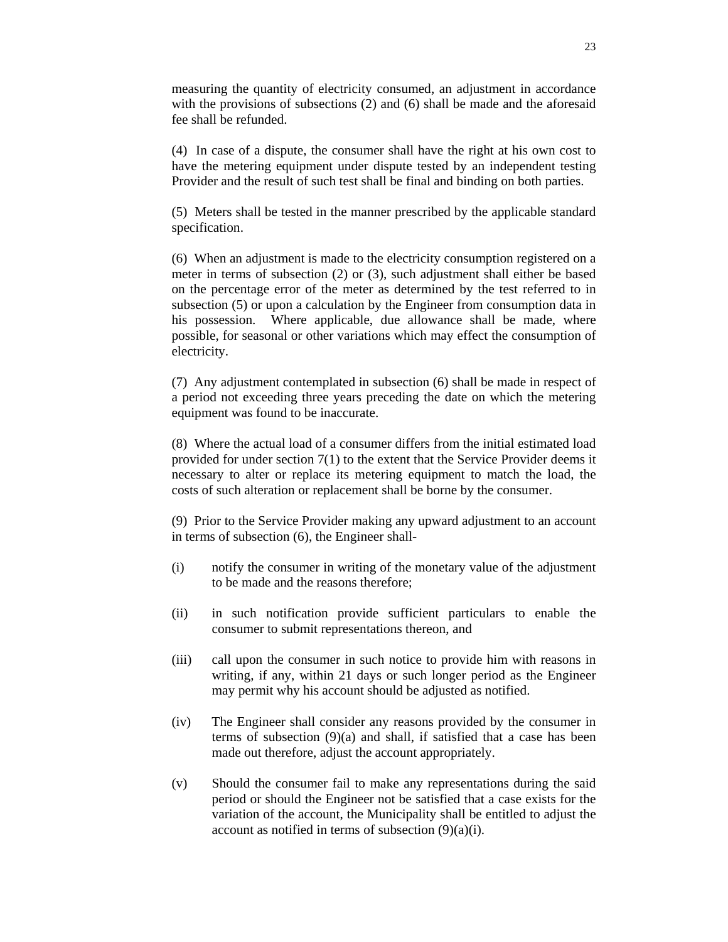measuring the quantity of electricity consumed, an adjustment in accordance with the provisions of subsections (2) and (6) shall be made and the aforesaid fee shall be refunded.

 (4) In case of a dispute, the consumer shall have the right at his own cost to have the metering equipment under dispute tested by an independent testing Provider and the result of such test shall be final and binding on both parties.

 (5) Meters shall be tested in the manner prescribed by the applicable standard specification.

 (6) When an adjustment is made to the electricity consumption registered on a meter in terms of subsection (2) or (3), such adjustment shall either be based on the percentage error of the meter as determined by the test referred to in subsection (5) or upon a calculation by the Engineer from consumption data in his possession. Where applicable, due allowance shall be made, where possible, for seasonal or other variations which may effect the consumption of electricity.

 (7) Any adjustment contemplated in subsection (6) shall be made in respect of a period not exceeding three years preceding the date on which the metering equipment was found to be inaccurate.

 (8) Where the actual load of a consumer differs from the initial estimated load provided for under section 7(1) to the extent that the Service Provider deems it necessary to alter or replace its metering equipment to match the load, the costs of such alteration or replacement shall be borne by the consumer.

 (9) Prior to the Service Provider making any upward adjustment to an account in terms of subsection (6), the Engineer shall-

- (i) notify the consumer in writing of the monetary value of the adjustment to be made and the reasons therefore;
- (ii) in such notification provide sufficient particulars to enable the consumer to submit representations thereon, and
- (iii) call upon the consumer in such notice to provide him with reasons in writing, if any, within 21 days or such longer period as the Engineer may permit why his account should be adjusted as notified.
- (iv) The Engineer shall consider any reasons provided by the consumer in terms of subsection (9)(a) and shall, if satisfied that a case has been made out therefore, adjust the account appropriately.
- (v) Should the consumer fail to make any representations during the said period or should the Engineer not be satisfied that a case exists for the variation of the account, the Municipality shall be entitled to adjust the account as notified in terms of subsection  $(9)(a)(i)$ .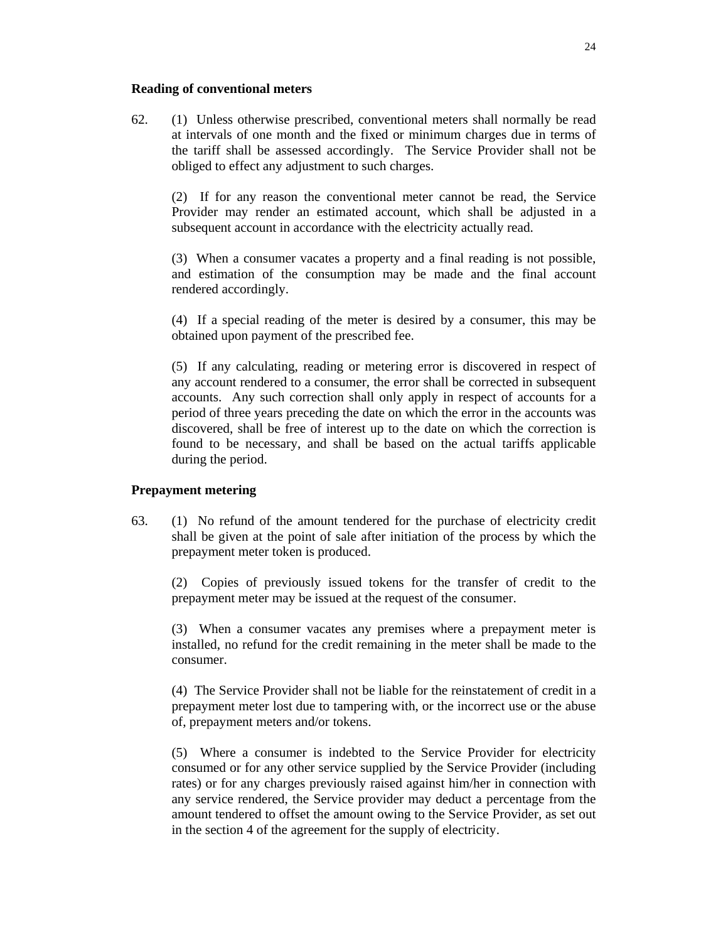#### **Reading of conventional meters**

62. (1) Unless otherwise prescribed, conventional meters shall normally be read at intervals of one month and the fixed or minimum charges due in terms of the tariff shall be assessed accordingly. The Service Provider shall not be obliged to effect any adjustment to such charges.

 (2) If for any reason the conventional meter cannot be read, the Service Provider may render an estimated account, which shall be adjusted in a subsequent account in accordance with the electricity actually read.

 (3) When a consumer vacates a property and a final reading is not possible, and estimation of the consumption may be made and the final account rendered accordingly.

 (4) If a special reading of the meter is desired by a consumer, this may be obtained upon payment of the prescribed fee.

 (5) If any calculating, reading or metering error is discovered in respect of any account rendered to a consumer, the error shall be corrected in subsequent accounts. Any such correction shall only apply in respect of accounts for a period of three years preceding the date on which the error in the accounts was discovered, shall be free of interest up to the date on which the correction is found to be necessary, and shall be based on the actual tariffs applicable during the period.

#### **Prepayment metering**

63. (1) No refund of the amount tendered for the purchase of electricity credit shall be given at the point of sale after initiation of the process by which the prepayment meter token is produced.

 (2) Copies of previously issued tokens for the transfer of credit to the prepayment meter may be issued at the request of the consumer.

 (3) When a consumer vacates any premises where a prepayment meter is installed, no refund for the credit remaining in the meter shall be made to the consumer.

 (4) The Service Provider shall not be liable for the reinstatement of credit in a prepayment meter lost due to tampering with, or the incorrect use or the abuse of, prepayment meters and/or tokens.

 (5) Where a consumer is indebted to the Service Provider for electricity consumed or for any other service supplied by the Service Provider (including rates) or for any charges previously raised against him/her in connection with any service rendered, the Service provider may deduct a percentage from the amount tendered to offset the amount owing to the Service Provider, as set out in the section 4 of the agreement for the supply of electricity.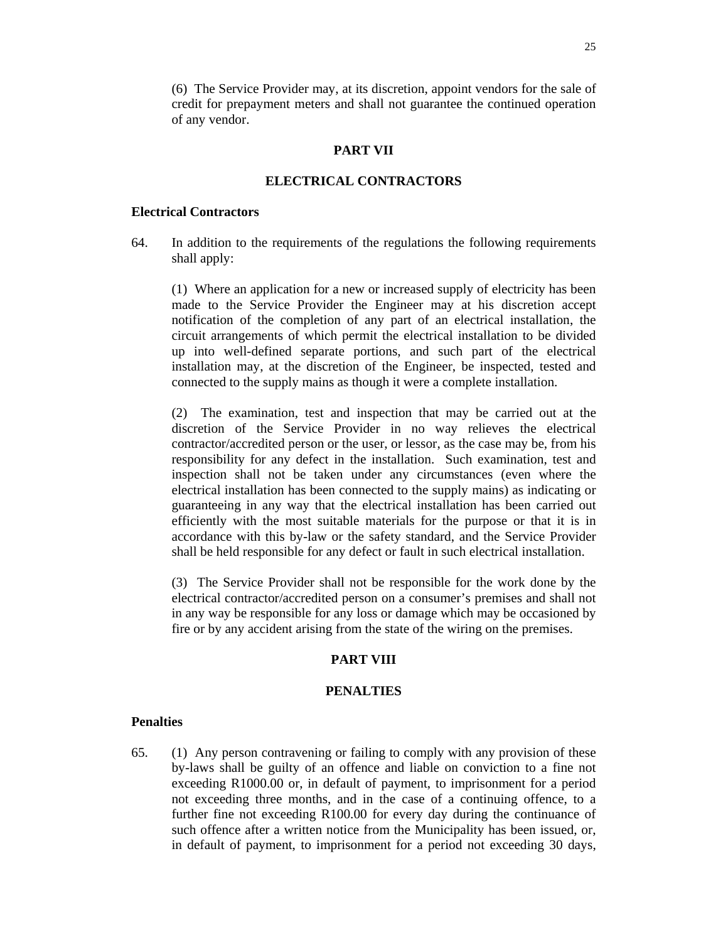(6) The Service Provider may, at its discretion, appoint vendors for the sale of credit for prepayment meters and shall not guarantee the continued operation of any vendor.

## **PART VII**

## **ELECTRICAL CONTRACTORS**

### **Electrical Contractors**

64. In addition to the requirements of the regulations the following requirements shall apply:

 (1) Where an application for a new or increased supply of electricity has been made to the Service Provider the Engineer may at his discretion accept notification of the completion of any part of an electrical installation, the circuit arrangements of which permit the electrical installation to be divided up into well-defined separate portions, and such part of the electrical installation may, at the discretion of the Engineer, be inspected, tested and connected to the supply mains as though it were a complete installation.

 (2) The examination, test and inspection that may be carried out at the discretion of the Service Provider in no way relieves the electrical contractor/accredited person or the user, or lessor, as the case may be, from his responsibility for any defect in the installation. Such examination, test and inspection shall not be taken under any circumstances (even where the electrical installation has been connected to the supply mains) as indicating or guaranteeing in any way that the electrical installation has been carried out efficiently with the most suitable materials for the purpose or that it is in accordance with this by-law or the safety standard, and the Service Provider shall be held responsible for any defect or fault in such electrical installation.

 (3) The Service Provider shall not be responsible for the work done by the electrical contractor/accredited person on a consumer's premises and shall not in any way be responsible for any loss or damage which may be occasioned by fire or by any accident arising from the state of the wiring on the premises.

# **PART VIII**

## **PENALTIES**

#### **Penalties**

65. (1) Any person contravening or failing to comply with any provision of these by-laws shall be guilty of an offence and liable on conviction to a fine not exceeding R1000.00 or, in default of payment, to imprisonment for a period not exceeding three months, and in the case of a continuing offence, to a further fine not exceeding R100.00 for every day during the continuance of such offence after a written notice from the Municipality has been issued, or, in default of payment, to imprisonment for a period not exceeding 30 days,